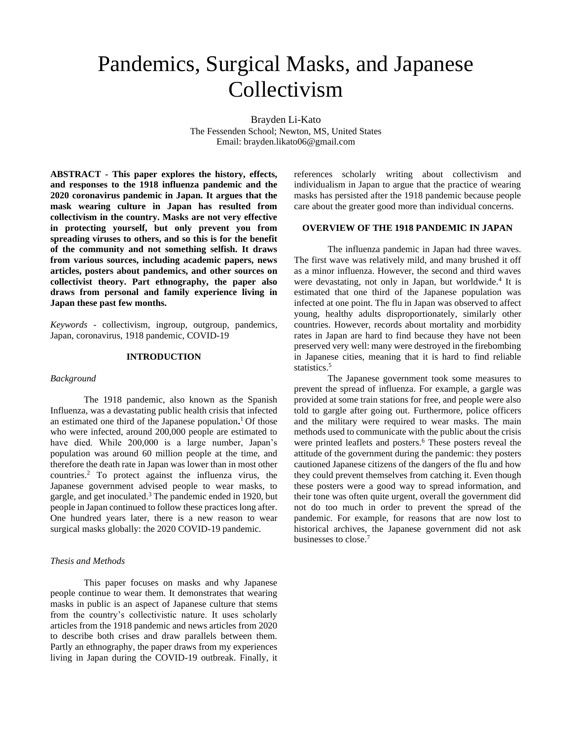# Pandemics, Surgical Masks, and Japanese Collectivism

Brayden Li-Kato The Fessenden School; Newton, MS, United States Email: brayden.likato06@gmail.com

**ABSTRACT - This paper explores the history, effects, and responses to the 1918 influenza pandemic and the 2020 coronavirus pandemic in Japan. It argues that the mask wearing culture in Japan has resulted from collectivism in the country. Masks are not very effective in protecting yourself, but only prevent you from spreading viruses to others, and so this is for the benefit of the community and not something selfish. It draws from various sources, including academic papers, news articles, posters about pandemics, and other sources on collectivist theory. Part ethnography, the paper also draws from personal and family experience living in Japan these past few months.**

*Keywords -* collectivism, ingroup, outgroup, pandemics, Japan, coronavirus, 1918 pandemic, COVID-19

#### **INTRODUCTION**

#### *Background*

The 1918 pandemic, also known as the Spanish Influenza, was a devastating public health crisis that infected an estimated one third of the Japanese population**.** <sup>1</sup> Of those who were infected, around 200,000 people are estimated to have died. While 200,000 is a large number, Japan's population was around 60 million people at the time, and therefore the death rate in Japan was lower than in most other countries.<sup>2</sup> To protect against the influenza virus, the Japanese government advised people to wear masks, to gargle, and get inoculated.<sup>3</sup> The pandemic ended in 1920, but people in Japan continued to follow these practices long after. One hundred years later, there is a new reason to wear surgical masks globally: the 2020 COVID-19 pandemic.

# *Thesis and Methods*

This paper focuses on masks and why Japanese people continue to wear them. It demonstrates that wearing masks in public is an aspect of Japanese culture that stems from the country's collectivistic nature. It uses scholarly articles from the 1918 pandemic and news articles from 2020 to describe both crises and draw parallels between them. Partly an ethnography, the paper draws from my experiences living in Japan during the COVID-19 outbreak. Finally, it references scholarly writing about collectivism and individualism in Japan to argue that the practice of wearing masks has persisted after the 1918 pandemic because people care about the greater good more than individual concerns.

### **OVERVIEW OF THE 1918 PANDEMIC IN JAPAN**

The influenza pandemic in Japan had three waves. The first wave was relatively mild, and many brushed it off as a minor influenza. However, the second and third waves were devastating, not only in Japan, but worldwide.<sup>4</sup> It is estimated that one third of the Japanese population was infected at one point. The flu in Japan was observed to affect young, healthy adults disproportionately, similarly other countries. However, records about mortality and morbidity rates in Japan are hard to find because they have not been preserved very well: many were destroyed in the firebombing in Japanese cities, meaning that it is hard to find reliable statistics.<sup>5</sup>

The Japanese government took some measures to prevent the spread of influenza. For example, a gargle was provided at some train stations for free, and people were also told to gargle after going out. Furthermore, police officers and the military were required to wear masks. The main methods used to communicate with the public about the crisis were printed leaflets and posters.<sup>6</sup> These posters reveal the attitude of the government during the pandemic: they posters cautioned Japanese citizens of the dangers of the flu and how they could prevent themselves from catching it. Even though these posters were a good way to spread information, and their tone was often quite urgent, overall the government did not do too much in order to prevent the spread of the pandemic. For example, for reasons that are now lost to historical archives, the Japanese government did not ask businesses to close.<sup>7</sup>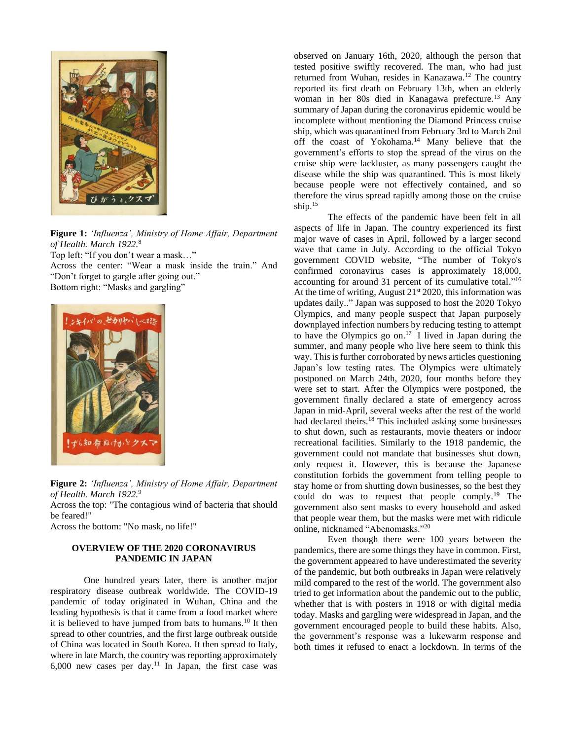

**Figure 1:** *'Influenza', Ministry of Home Affair, Department of Health. March 1922.* 8 Top left: "If you don't wear a mask…" Across the center: "Wear a mask inside the train." And "Don't forget to gargle after going out." Bottom right: "Masks and gargling"



**Figure 2:** *'Influenza', Ministry of Home Affair, Department of Health. March 1922.*<sup>9</sup>

Across the top: "The contagious wind of bacteria that should be feared!"

Across the bottom: "No mask, no life!"

# **OVERVIEW OF THE 2020 CORONAVIRUS PANDEMIC IN JAPAN**

One hundred years later, there is another major respiratory disease outbreak worldwide. The COVID-19 pandemic of today originated in Wuhan, China and the leading hypothesis is that it came from a food market where it is believed to have jumped from bats to humans.<sup>10</sup> It then spread to other countries, and the first large outbreak outside of China was located in South Korea. It then spread to Italy, where in late March, the country was reporting approximately  $6,000$  new cases per day.<sup>11</sup> In Japan, the first case was

observed on January 16th, 2020, although the person that tested positive swiftly recovered. The man, who had just returned from Wuhan, resides in Kanazawa.<sup>12</sup> The country reported its first death on February 13th, when an elderly woman in her 80s died in Kanagawa prefecture.<sup>13</sup> Any summary of Japan during the coronavirus epidemic would be incomplete without mentioning the Diamond Princess cruise ship, which was quarantined from February 3rd to March 2nd off the coast of Yokohama.<sup>14</sup> Many believe that the government's efforts to stop the spread of the virus on the cruise ship were lackluster, as many passengers caught the disease while the ship was quarantined. This is most likely because people were not effectively contained, and so therefore the virus spread rapidly among those on the cruise ship.<sup>15</sup>

The effects of the pandemic have been felt in all aspects of life in Japan. The country experienced its first major wave of cases in April, followed by a larger second wave that came in July. According to the official Tokyo government COVID website, "The number of Tokyo's confirmed coronavirus cases is approximately 18,000, accounting for around 31 percent of its cumulative total."<sup>16</sup> At the time of writing, August 21<sup>st</sup> 2020, this information was updates daily.." Japan was supposed to host the 2020 Tokyo Olympics, and many people suspect that Japan purposely downplayed infection numbers by reducing testing to attempt to have the Olympics go on.<sup>17</sup> I lived in Japan during the summer, and many people who live here seem to think this way. This is further corroborated by news articles questioning Japan's low testing rates. The Olympics were ultimately postponed on March 24th, 2020, four months before they were set to start. After the Olympics were postponed, the government finally declared a state of emergency across Japan in mid-April, several weeks after the rest of the world had declared theirs.<sup>18</sup> This included asking some businesses to shut down, such as restaurants, movie theaters or indoor recreational facilities. Similarly to the 1918 pandemic, the government could not mandate that businesses shut down, only request it. However, this is because the Japanese constitution forbids the government from telling people to stay home or from shutting down businesses, so the best they could do was to request that people comply.<sup>19</sup> The government also sent masks to every household and asked that people wear them, but the masks were met with ridicule online, nicknamed "Abenomasks."<sup>20</sup>

Even though there were 100 years between the pandemics, there are some things they have in common. First, the government appeared to have underestimated the severity of the pandemic, but both outbreaks in Japan were relatively mild compared to the rest of the world. The government also tried to get information about the pandemic out to the public, whether that is with posters in 1918 or with digital media today. Masks and gargling were widespread in Japan, and the government encouraged people to build these habits. Also, the government's response was a lukewarm response and both times it refused to enact a lockdown. In terms of the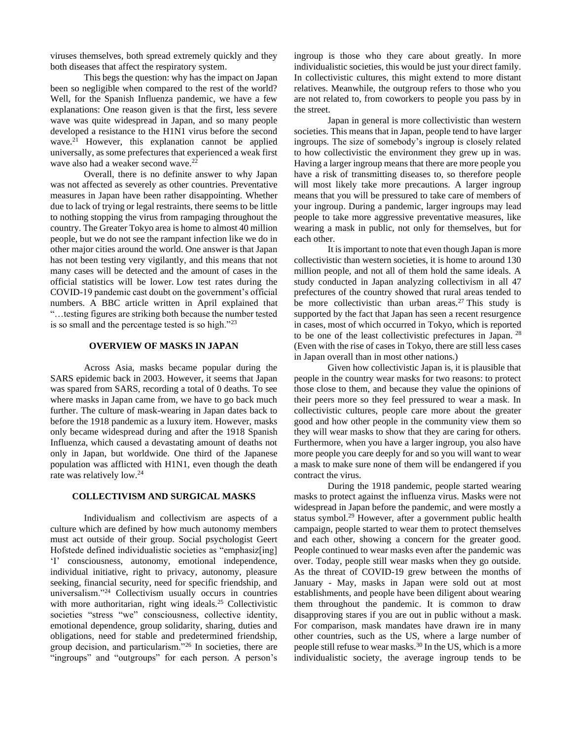viruses themselves, both spread extremely quickly and they both diseases that affect the respiratory system.

This begs the question: why has the impact on Japan been so negligible when compared to the rest of the world? Well, for the Spanish Influenza pandemic, we have a few explanations: One reason given is that the first, less severe wave was quite widespread in Japan, and so many people developed a resistance to the H1N1 virus before the second wave.<sup>21</sup> However, this explanation cannot be applied universally, as some prefectures that experienced a weak first wave also had a weaker second wave.<sup>22</sup>

Overall, there is no definite answer to why Japan was not affected as severely as other countries. Preventative measures in Japan have been rather disappointing. Whether due to lack of trying or legal restraints, there seems to be little to nothing stopping the virus from rampaging throughout the country. The Greater Tokyo area is home to almost 40 million people, but we do not see the rampant infection like we do in other major cities around the world. One answer is that Japan has not been testing very vigilantly, and this means that not many cases will be detected and the amount of cases in the official statistics will be lower. Low test rates during the COVID-19 pandemic cast doubt on the government's official numbers. A BBC article written in April explained that "…testing figures are striking both because the number tested is so small and the percentage tested is so high."<sup>23</sup>

# **OVERVIEW OF MASKS IN JAPAN**

Across Asia, masks became popular during the SARS epidemic back in 2003. However, it seems that Japan was spared from SARS, recording a total of 0 deaths. To see where masks in Japan came from, we have to go back much further. The culture of mask-wearing in Japan dates back to before the 1918 pandemic as a luxury item. However, masks only became widespread during and after the 1918 Spanish Influenza, which caused a devastating amount of deaths not only in Japan, but worldwide. One third of the Japanese population was afflicted with H1N1, even though the death rate was relatively low.<sup>24</sup>

#### **COLLECTIVISM AND SURGICAL MASKS**

Individualism and collectivism are aspects of a culture which are defined by how much autonomy members must act outside of their group. Social psychologist Geert Hofstede defined individualistic societies as "emphasiz[ing] 'I' consciousness, autonomy, emotional independence, individual initiative, right to privacy, autonomy, pleasure seeking, financial security, need for specific friendship, and universalism."<sup>24</sup> Collectivism usually occurs in countries with more authoritarian, right wing ideals.<sup>25</sup> Collectivistic societies "stress "we" consciousness, collective identity, emotional dependence, group solidarity, sharing, duties and obligations, need for stable and predetermined friendship, group decision, and particularism."<sup>26</sup> In societies, there are "ingroups" and "outgroups" for each person. A person's

ingroup is those who they care about greatly. In more individualistic societies, this would be just your direct family. In collectivistic cultures, this might extend to more distant relatives. Meanwhile, the outgroup refers to those who you are not related to, from coworkers to people you pass by in the street.

Japan in general is more collectivistic than western societies. This means that in Japan, people tend to have larger ingroups. The size of somebody's ingroup is closely related to how collectivistic the environment they grew up in was. Having a larger ingroup means that there are more people you have a risk of transmitting diseases to, so therefore people will most likely take more precautions. A larger ingroup means that you will be pressured to take care of members of your ingroup. During a pandemic, larger ingroups may lead people to take more aggressive preventative measures, like wearing a mask in public, not only for themselves, but for each other.

It is important to note that even though Japan is more collectivistic than western societies, it is home to around 130 million people, and not all of them hold the same ideals. A study conducted in Japan analyzing collectivism in all 47 prefectures of the country showed that rural areas tended to be more collectivistic than urban areas.<sup>27</sup> This study is supported by the fact that Japan has seen a recent resurgence in cases, most of which occurred in Tokyo, which is reported to be one of the least collectivistic prefectures in Japan. <sup>28</sup> (Even with the rise of cases in Tokyo, there are still less cases in Japan overall than in most other nations.)

Given how collectivistic Japan is, it is plausible that people in the country wear masks for two reasons: to protect those close to them, and because they value the opinions of their peers more so they feel pressured to wear a mask. In collectivistic cultures, people care more about the greater good and how other people in the community view them so they will wear masks to show that they are caring for others. Furthermore, when you have a larger ingroup, you also have more people you care deeply for and so you will want to wear a mask to make sure none of them will be endangered if you contract the virus.

During the 1918 pandemic, people started wearing masks to protect against the influenza virus. Masks were not widespread in Japan before the pandemic, and were mostly a status symbol.<sup>29</sup> However, after a government public health campaign, people started to wear them to protect themselves and each other, showing a concern for the greater good. People continued to wear masks even after the pandemic was over. Today, people still wear masks when they go outside. As the threat of COVID-19 grew between the months of January - May, masks in Japan were sold out at most establishments, and people have been diligent about wearing them throughout the pandemic. It is common to draw disapproving stares if you are out in public without a mask. For comparison, mask mandates have drawn ire in many other countries, such as the US, where a large number of people still refuse to wear masks.<sup>30</sup> In the US, which is a more individualistic society, the average ingroup tends to be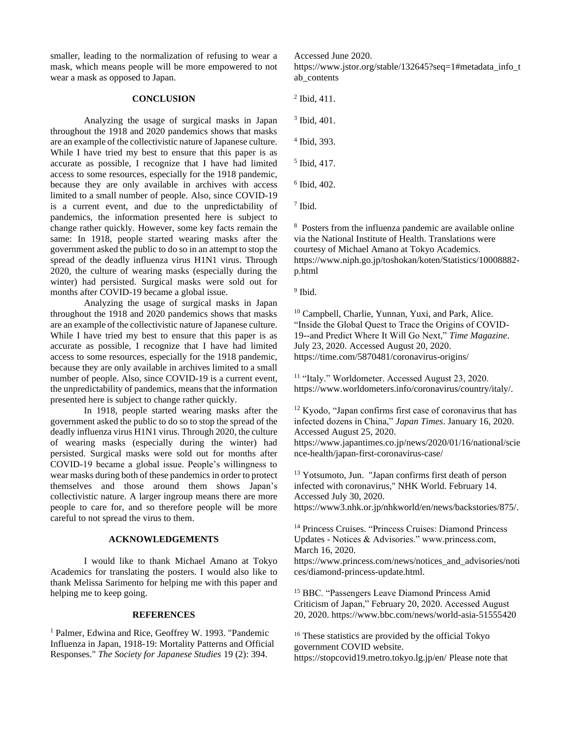smaller, leading to the normalization of refusing to wear a mask, which means people will be more empowered to not wear a mask as opposed to Japan.

# **CONCLUSION**

Analyzing the usage of surgical masks in Japan throughout the 1918 and 2020 pandemics shows that masks are an example of the collectivistic nature of Japanese culture. While I have tried my best to ensure that this paper is as accurate as possible, I recognize that I have had limited access to some resources, especially for the 1918 pandemic, because they are only available in archives with access limited to a small number of people. Also, since COVID-19 is a current event, and due to the unpredictability of pandemics, the information presented here is subject to change rather quickly. However, some key facts remain the same: In 1918, people started wearing masks after the government asked the public to do so in an attempt to stop the spread of the deadly influenza virus H1N1 virus. Through 2020, the culture of wearing masks (especially during the winter) had persisted. Surgical masks were sold out for months after COVID-19 became a global issue.

Analyzing the usage of surgical masks in Japan throughout the 1918 and 2020 pandemics shows that masks are an example of the collectivistic nature of Japanese culture. While I have tried my best to ensure that this paper is as accurate as possible, I recognize that I have had limited access to some resources, especially for the 1918 pandemic, because they are only available in archives limited to a small number of people. Also, since COVID-19 is a current event, the unpredictability of pandemics, means that the information presented here is subject to change rather quickly.

In 1918, people started wearing masks after the government asked the public to do so to stop the spread of the deadly influenza virus H1N1 virus. Through 2020, the culture of wearing masks (especially during the winter) had persisted. Surgical masks were sold out for months after COVID-19 became a global issue. People's willingness to wear masks during both of these pandemics in order to protect themselves and those around them shows Japan's collectivistic nature. A larger ingroup means there are more people to care for, and so therefore people will be more careful to not spread the virus to them.

### **ACKNOWLEDGEMENTS**

I would like to thank Michael Amano at Tokyo Academics for translating the posters. I would also like to thank Melissa Sarimento for helping me with this paper and helping me to keep going.

#### **REFERENCES**

<sup>1</sup> Palmer, Edwina and Rice, Geoffrey W. 1993. "Pandemic Influenza in Japan, 1918-19: Mortality Patterns and Official Responses." *The Society for Japanese Studies* 19 (2): 394.

https://www.jstor.org/stable/132645?seq=1#metadata\_info\_t ab\_contents

2 Ibid, 411.

Accessed June 2020.

3 Ibid, 401.

4 Ibid, 393.

5 Ibid, 417.

6 Ibid, 402.

7 Ibid.

8 Posters from the influenza pandemic are available online via the National Institute of Health. Translations were courtesy of Michael Amano at Tokyo Academics. https://www.niph.go.jp/toshokan/koten/Statistics/10008882 p.html

<sup>9</sup> Ibid.

<sup>10</sup> Campbell, Charlie, Yunnan, Yuxi, and Park, Alice. "Inside the Global Quest to Trace the Origins of COVID-19--and Predict Where It Will Go Next," *Time Magazine*. July 23, 2020. Accessed August 20, 2020. https://time.com/5870481/coronavirus-origins/

<sup>11</sup> "Italy." Worldometer. Accessed August 23, 2020. https://www.worldometers.info/coronavirus/country/italy/.

<sup>12</sup> Kyodo, "Japan confirms first case of coronavirus that has infected dozens in China," *Japan Times*. January 16, 2020. Accessed August 25, 2020. https://www.japantimes.co.jp/news/2020/01/16/national/scie nce-health/japan-first-coronavirus-case/

<sup>13</sup> Yotsumoto, Jun. "Japan confirms first death of person infected with coronavirus," NHK World. February 14. Accessed July 30, 2020. https://www3.nhk.or.jp/nhkworld/en/news/backstories/875/.

<sup>14</sup> Princess Cruises. "Princess Cruises: Diamond Princess Updates - Notices & Advisories." www.princess.com, March 16, 2020.

https://www.princess.com/news/notices\_and\_advisories/noti ces/diamond-princess-update.html.

<sup>15</sup> BBC. "Passengers Leave Diamond Princess Amid Criticism of Japan," February 20, 2020. Accessed August 20, 2020. https://www.bbc.com/news/world-asia-51555420

<sup>16</sup> These statistics are provided by the official Tokyo government COVID website. https://stopcovid19.metro.tokyo.lg.jp/en/ Please note that